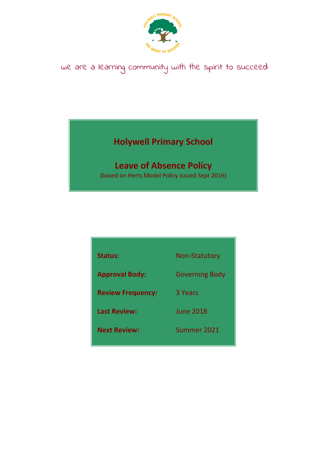

# we are a learning community with the spirit to succeed

## **Holywell Primary School**

## **Leave of Absence Policy**

(based on Herts Model Policy issued Sept 2016)

| <b>Status:</b>           | Non-Statutory         |
|--------------------------|-----------------------|
| <b>Approval Body:</b>    | <b>Governing Body</b> |
| <b>Review Frequency:</b> | 3 Years               |
| <b>Last Review:</b>      | <b>June 2018</b>      |
| <b>Next Review:</b>      | Summer 2021           |
|                          |                       |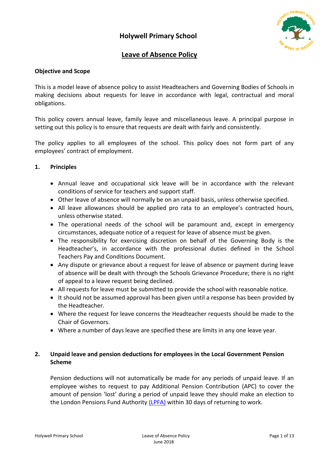

## **Leave of Absence Policy**

#### **Objective and Scope**

This is a model leave of absence policy to assist Headteachers and Governing Bodies of Schools in making decisions about requests for leave in accordance with legal, contractual and moral obligations.

This policy covers annual leave, family leave and miscellaneous leave. A principal purpose in setting out this policy is to ensure that requests are dealt with fairly and consistently.

The policy applies to all employees of the school. This policy does not form part of any employees' contract of employment.

#### **1. Principles**

- Annual leave and occupational sick leave will be in accordance with the relevant conditions of service for teachers and support staff.
- Other leave of absence will normally be on an unpaid basis, unless otherwise specified.
- All leave allowances should be applied pro rata to an employee's contracted hours, unless otherwise stated.
- The operational needs of the school will be paramount and, except in emergency circumstances, adequate notice of a request for leave of absence must be given.
- The responsibility for exercising discretion on behalf of the Governing Body is the Headteacher's, in accordance with the professional duties defined in the School Teachers Pay and Conditions Document.
- Any dispute or grievance about a request for leave of absence or payment during leave of absence will be dealt with through the Schools Grievance Procedure; there is no right of appeal to a leave request being declined.
- All requests for leave must be submitted to provide the school with reasonable notice.
- It should not be assumed approval has been given until a response has been provided by the Headteacher.
- Where the request for leave concerns the Headteacher requests should be made to the Chair of Governors.
- Where a number of days leave are specified these are limits in any one leave year.

### **2. Unpaid leave and pension deductions for employees in the Local Government Pension Scheme**

Pension deductions will not automatically be made for any periods of unpaid leave. If an employee wishes to request to pay Additional Pension Contribution (APC) to cover the amount of pension 'lost' during a period of unpaid leave they should make an election to the London Pensions Fund Authority [\(LPFA\)](http://compass.hertscc.gov.uk/phonebook/pb/partners/16941364/09843562) within 30 days of returning to work.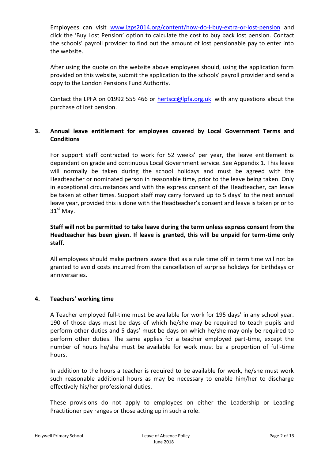Employees can visit [www.lgps2014.org/content/how-do-i-buy-extra-or-lost-pension](http://www.lgps2014.org/content/how-do-i-buy-extra-or-lost-pension) and click the 'Buy Lost Pension' option to calculate the cost to buy back lost pension. Contact the schools' payroll provider to find out the amount of lost pensionable pay to enter into the website.

After using the quote on the website above employees should, using the application form provided on this website, submit the application to the schools' payroll provider and send a copy to the London Pensions Fund Authority.

Contact the LPFA on 01992 555 466 or [hertscc@lpfa.org.uk](mailto:hertscc@lpfa.org.uk) with any questions about the purchase of lost pension.

### **3. Annual leave entitlement for employees covered by Local Government Terms and Conditions**

For support staff contracted to work for 52 weeks' per year, the leave entitlement is dependent on grade and continuous Local Government service. See Appendix 1. This leave will normally be taken during the school holidays and must be agreed with the Headteacher or nominated person in reasonable time, prior to the leave being taken. Only in exceptional circumstances and with the express consent of the Headteacher, can leave be taken at other times. Support staff may carry forward up to 5 days' to the next annual leave year, provided this is done with the Headteacher's consent and leave is taken prior to  $31<sup>st</sup>$  May.

**Staff will not be permitted to take leave during the term unless express consent from the Headteacher has been given. If leave is granted, this will be unpaid for term-time only staff.** 

All employees should make partners aware that as a rule time off in term time will not be granted to avoid costs incurred from the cancellation of surprise holidays for birthdays or anniversaries.

#### **4. Teachers' working time**

A Teacher employed full-time must be available for work for 195 days' in any school year. 190 of those days must be days of which he/she may be required to teach pupils and perform other duties and 5 days' must be days on which he/she may only be required to perform other duties. The same applies for a teacher employed part-time, except the number of hours he/she must be available for work must be a proportion of full-time hours.

In addition to the hours a teacher is required to be available for work, he/she must work such reasonable additional hours as may be necessary to enable him/her to discharge effectively his/her professional duties.

These provisions do not apply to employees on either the Leadership or Leading Practitioner pay ranges or those acting up in such a role.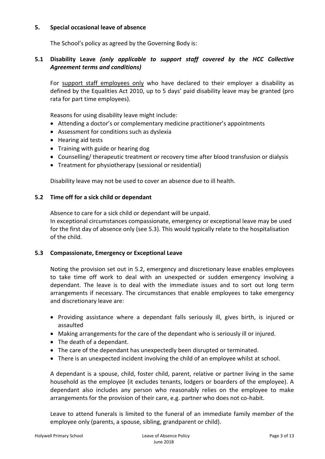#### **5. Special occasional leave of absence**

The School's policy as agreed by the Governing Body is:

### **5.1 Disability Leave** *(only applicable to support staff covered by the HCC Collective Agreement terms and conditions)*

For support staff employees only who have declared to their employer a disability as defined by the Equalities Act 2010, up to 5 days' paid disability leave may be granted (pro rata for part time employees).

Reasons for using disability leave might include:

- Attending a doctor's or complementary medicine practitioner's appointments
- Assessment for conditions such as dyslexia
- Hearing aid tests
- Training with guide or hearing dog
- Counselling/ therapeutic treatment or recovery time after blood transfusion or dialysis
- Treatment for physiotherapy (sessional or residential)

Disability leave may not be used to cover an absence due to ill health.

#### **5.2 Time off for a sick child or dependant**

Absence to care for a sick child or dependant will be unpaid.

In exceptional circumstances compassionate, emergency or exceptional leave may be used for the first day of absence only (see 5.3). This would typically relate to the hospitalisation of the child.

#### **5.3 Compassionate, Emergency or Exceptional Leave**

Noting the provision set out in 5.2, emergency and discretionary leave enables employees to take time off work to deal with an unexpected or sudden emergency involving a dependant. The leave is to deal with the immediate issues and to sort out long term arrangements if necessary. The circumstances that enable employees to take emergency and discretionary leave are:

- Providing assistance where a dependant falls seriously ill, gives birth, is injured or assaulted
- Making arrangements for the care of the dependant who is seriously ill or injured.
- The death of a dependant.
- The care of the dependant has unexpectedly been disrupted or terminated.
- There is an unexpected incident involving the child of an employee whilst at school.

A dependant is a spouse, child, foster child, parent, relative or partner living in the same household as the employee (it excludes tenants, lodgers or boarders of the employee). A dependant also includes any person who reasonably relies on the employee to make arrangements for the provision of their care, e.g. partner who does not co-habit.

Leave to attend funerals is limited to the funeral of an immediate family member of the employee only (parents, a spouse, sibling, grandparent or child).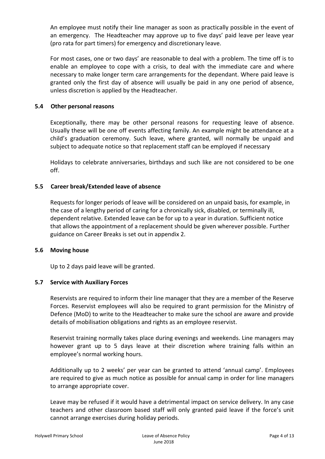An employee must notify their line manager as soon as practically possible in the event of an emergency. The Headteacher may approve up to five days' paid leave per leave year (pro rata for part timers) for emergency and discretionary leave.

For most cases, one or two days' are reasonable to deal with a problem. The time off is to enable an employee to cope with a crisis, to deal with the immediate care and where necessary to make longer term care arrangements for the dependant. Where paid leave is granted only the first day of absence will usually be paid in any one period of absence, unless discretion is applied by the Headteacher.

#### **5.4 Other personal reasons**

Exceptionally, there may be other personal reasons for requesting leave of absence. Usually these will be one off events affecting family. An example might be attendance at a child's graduation ceremony. Such leave, where granted, will normally be unpaid and subject to adequate notice so that replacement staff can be employed if necessary

Holidays to celebrate anniversaries, birthdays and such like are not considered to be one off.

#### **5.5 Career break/Extended leave of absence**

Requests for longer periods of leave will be considered on an unpaid basis, for example, in the case of a lengthy period of caring for a chronically sick, disabled, or terminally ill, dependent relative. Extended leave can be for up to a year in duration. Sufficient notice that allows the appointment of a replacement should be given wherever possible. Further guidance on Career Breaks is set out in appendix 2.

#### **5.6 Moving house**

Up to 2 days paid leave will be granted.

#### **5.7 Service with Auxiliary Forces**

Reservists are required to inform their line manager that they are a member of the Reserve Forces. Reservist employees will also be required to grant permission for the Ministry of Defence (MoD) to write to the Headteacher to make sure the school are aware and provide details of mobilisation obligations and rights as an employee reservist.

Reservist training normally takes place during evenings and weekends. Line managers may however grant up to 5 days leave at their discretion where training falls within an employee's normal working hours.

Additionally up to 2 weeks' per year can be granted to attend 'annual camp'. Employees are required to give as much notice as possible for annual camp in order for line managers to arrange appropriate cover.

Leave may be refused if it would have a detrimental impact on service delivery. In any case teachers and other classroom based staff will only granted paid leave if the force's unit cannot arrange exercises during holiday periods.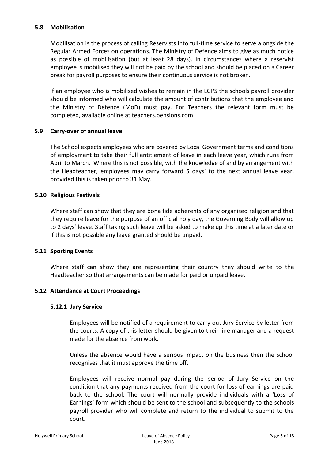#### **5.8 Mobilisation**

Mobilisation is the process of calling Reservists into full-time service to serve alongside the Regular Armed Forces on operations. The Ministry of Defence aims to give as much notice as possible of mobilisation (but at least 28 days). In circumstances where a reservist employee is mobilised they will not be paid by the school and should be placed on a Career break for payroll purposes to ensure their continuous service is not broken.

If an employee who is mobilised wishes to remain in the LGPS the schools payroll provider should be informed who will calculate the amount of contributions that the employee and the Ministry of Defence (MoD) must pay. For Teachers the relevant form must be completed, available online at teachers.pensions.com.

#### **5.9 Carry-over of annual leave**

The School expects employees who are covered by Local Government terms and conditions of employment to take their full entitlement of leave in each leave year, which runs from April to March. Where this is not possible, with the knowledge of and by arrangement with the Headteacher, employees may carry forward 5 days' to the next annual leave year, provided this is taken prior to 31 May.

#### **5.10 Religious Festivals**

Where staff can show that they are bona fide adherents of any organised religion and that they require leave for the purpose of an official holy day, the Governing Body will allow up to 2 days' leave. Staff taking such leave will be asked to make up this time at a later date or if this is not possible any leave granted should be unpaid.

#### **5.11 Sporting Events**

Where staff can show they are representing their country they should write to the Headteacher so that arrangements can be made for paid or unpaid leave.

#### **5.12 Attendance at Court Proceedings**

#### **5.12.1 Jury Service**

Employees will be notified of a requirement to carry out Jury Service by letter from the courts. A copy of this letter should be given to their line manager and a request made for the absence from work.

Unless the absence would have a serious impact on the business then the school recognises that it must approve the time off.

Employees will receive normal pay during the period of Jury Service on the condition that any payments received from the court for loss of earnings are paid back to the school. The court will normally provide individuals with a 'Loss of Earnings' form which should be sent to the school and subsequently to the schools payroll provider who will complete and return to the individual to submit to the court.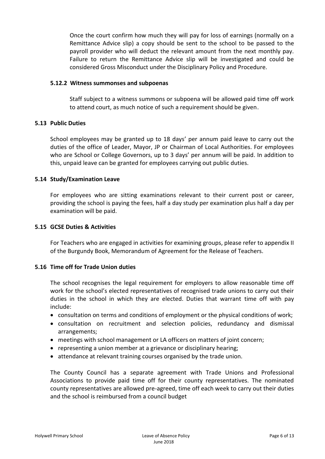Once the court confirm how much they will pay for loss of earnings (normally on a Remittance Advice slip) a copy should be sent to the school to be passed to the payroll provider who will deduct the relevant amount from the next monthly pay. Failure to return the Remittance Advice slip will be investigated and could be considered Gross Misconduct under the Disciplinary Policy and Procedure.

#### **5.12.2 Witness summonses and subpoenas**

Staff subject to a witness summons or subpoena will be allowed paid time off work to attend court, as much notice of such a requirement should be given.

#### **5.13 Public Duties**

School employees may be granted up to 18 days' per annum paid leave to carry out the duties of the office of Leader, Mayor, JP or Chairman of Local Authorities. For employees who are School or College Governors, up to 3 days' per annum will be paid. In addition to this, unpaid leave can be granted for employees carrying out public duties.

#### **5.14 Study/Examination Leave**

For employees who are sitting examinations relevant to their current post or career, providing the school is paying the fees, half a day study per examination plus half a day per examination will be paid.

#### **5.15 GCSE Duties & Activities**

For Teachers who are engaged in activities for examining groups, please refer to appendix II of the Burgundy Book, Memorandum of Agreement for the Release of Teachers.

#### **5.16 Time off for Trade Union duties**

The school recognises the legal requirement for employers to allow reasonable time off work for the school's elected representatives of recognised trade unions to carry out their duties in the school in which they are elected. Duties that warrant time off with pay include:

- consultation on terms and conditions of employment or the physical conditions of work;
- consultation on recruitment and selection policies, redundancy and dismissal arrangements;
- meetings with school management or LA officers on matters of joint concern;
- representing a union member at a grievance or disciplinary hearing;
- attendance at relevant training courses organised by the trade union.

The County Council has a separate agreement with Trade Unions and Professional Associations to provide paid time off for their county representatives. The nominated county representatives are allowed pre-agreed, time off each week to carry out their duties and the school is reimbursed from a council budget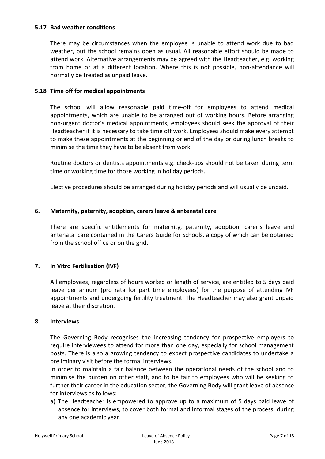#### **5.17 Bad weather conditions**

There may be circumstances when the employee is unable to attend work due to bad weather, but the school remains open as usual. All reasonable effort should be made to attend work. Alternative arrangements may be agreed with the Headteacher, e.g. working from home or at a different location. Where this is not possible, non-attendance will normally be treated as unpaid leave.

#### **5.18 Time off for medical appointments**

The school will allow reasonable paid time-off for employees to attend medical appointments, which are unable to be arranged out of working hours. Before arranging non-urgent doctor's medical appointments, employees should seek the approval of their Headteacher if it is necessary to take time off work. Employees should make every attempt to make these appointments at the beginning or end of the day or during lunch breaks to minimise the time they have to be absent from work.

Routine doctors or dentists appointments e.g. check-ups should not be taken during term time or working time for those working in holiday periods.

Elective procedures should be arranged during holiday periods and will usually be unpaid.

#### **6. Maternity, paternity, adoption, carers leave & antenatal care**

There are specific entitlements for maternity, paternity, adoption, carer's leave and antenatal care contained in the Carers Guide for Schools, a copy of which can be obtained from the school office or on the grid.

#### **7. In Vitro Fertilisation (IVF)**

All employees, regardless of hours worked or length of service, are entitled to 5 days paid leave per annum (pro rata for part time employees) for the purpose of attending IVF appointments and undergoing fertility treatment. The Headteacher may also grant unpaid leave at their discretion.

#### **8. Interviews**

The Governing Body recognises the increasing tendency for prospective employers to require interviewees to attend for more than one day, especially for school management posts. There is also a growing tendency to expect prospective candidates to undertake a preliminary visit before the formal interviews.

In order to maintain a fair balance between the operational needs of the school and to minimise the burden on other staff, and to be fair to employees who will be seeking to further their career in the education sector, the Governing Body will grant leave of absence for interviews as follows:

a) The Headteacher is empowered to approve up to a maximum of 5 days paid leave of absence for interviews, to cover both formal and informal stages of the process, during any one academic year.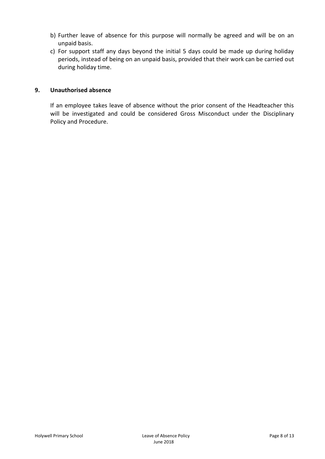- b) Further leave of absence for this purpose will normally be agreed and will be on an unpaid basis.
- c) For support staff any days beyond the initial 5 days could be made up during holiday periods, instead of being on an unpaid basis, provided that their work can be carried out during holiday time.

#### **9. Unauthorised absence**

If an employee takes leave of absence without the prior consent of the Headteacher this will be investigated and could be considered Gross Misconduct under the Disciplinary Policy and Procedure.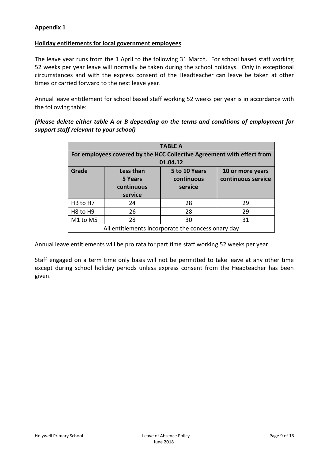#### **Appendix 1**

#### **Holiday entitlements for local government employees**

The leave year runs from the 1 April to the following 31 March. For school based staff working 52 weeks per year leave will normally be taken during the school holidays. Only in exceptional circumstances and with the express consent of the Headteacher can leave be taken at other times or carried forward to the next leave year.

Annual leave entitlement for school based staff working 52 weeks per year is in accordance with the following table:

*(Please delete either table A or B depending on the terms and conditions of employment for support staff relevant to your school)*

| <b>TABLE A</b>                                                         |                                               |                                        |                                        |  |  |
|------------------------------------------------------------------------|-----------------------------------------------|----------------------------------------|----------------------------------------|--|--|
| For employees covered by the HCC Collective Agreement with effect from |                                               |                                        |                                        |  |  |
| 01.04.12                                                               |                                               |                                        |                                        |  |  |
| Grade                                                                  | Less than<br>5 Years<br>continuous<br>service | 5 to 10 Years<br>continuous<br>service | 10 or more years<br>continuous service |  |  |
| HB to H7                                                               | 24                                            | 28                                     | 29                                     |  |  |
| H <sub>8</sub> to H <sub>9</sub>                                       | 26                                            | 28                                     | 29                                     |  |  |
| M1 to M5                                                               | 28                                            | 30                                     | 31                                     |  |  |
| All entitlements incorporate the concessionary day                     |                                               |                                        |                                        |  |  |

Annual leave entitlements will be pro rata for part time staff working 52 weeks per year.

Staff engaged on a term time only basis will not be permitted to take leave at any other time except during school holiday periods unless express consent from the Headteacher has been given.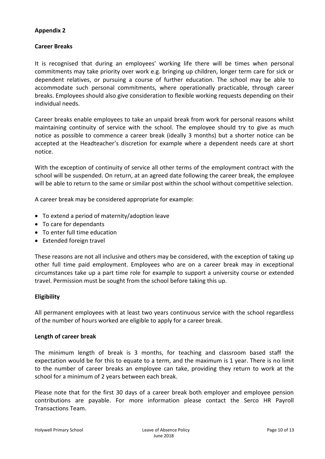#### **Appendix 2**

#### **Career Breaks**

It is recognised that during an employees' working life there will be times when personal commitments may take priority over work e.g. bringing up children, longer term care for sick or dependent relatives, or pursuing a course of further education. The school may be able to accommodate such personal commitments, where operationally practicable, through career breaks. Employees should also give consideration to flexible working requests depending on their individual needs.

Career breaks enable employees to take an unpaid break from work for personal reasons whilst maintaining continuity of service with the school. The employee should try to give as much notice as possible to commence a career break (ideally 3 months) but a shorter notice can be accepted at the Headteacher's discretion for example where a dependent needs care at short notice.

With the exception of continuity of service all other terms of the employment contract with the school will be suspended. On return, at an agreed date following the career break, the employee will be able to return to the same or similar post within the school without competitive selection.

A career break may be considered appropriate for example:

- To extend a period of maternity/adoption leave
- To care for dependants
- To enter full time education
- Extended foreign travel

These reasons are not all inclusive and others may be considered, with the exception of taking up other full time paid employment. Employees who are on a career break may in exceptional circumstances take up a part time role for example to support a university course or extended travel. Permission must be sought from the school before taking this up.

#### **Eligibility**

All permanent employees with at least two years continuous service with the school regardless of the number of hours worked are eligible to apply for a career break.

#### **Length of career break**

The minimum length of break is 3 months, for teaching and classroom based staff the expectation would be for this to equate to a term, and the maximum is 1 year. There is no limit to the number of career breaks an employee can take, providing they return to work at the school for a minimum of 2 years between each break.

Please note that for the first 30 days of a career break both employer and employee pension contributions are payable. For more information please contact the Serco HR Payroll Transactions Team.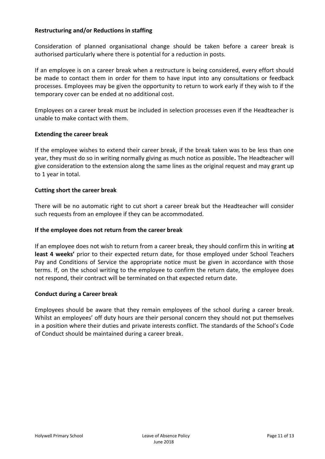#### **Restructuring and/or Reductions in staffing**

Consideration of planned organisational change should be taken before a career break is authorised particularly where there is potential for a reduction in posts.

If an employee is on a career break when a restructure is being considered, every effort should be made to contact them in order for them to have input into any consultations or feedback processes. Employees may be given the opportunity to return to work early if they wish to if the temporary cover can be ended at no additional cost.

Employees on a career break must be included in selection processes even if the Headteacher is unable to make contact with them.

#### **Extending the career break**

If the employee wishes to extend their career break, if the break taken was to be less than one year, they must do so in writing normally giving as much notice as possible**.** The Headteacher will give consideration to the extension along the same lines as the original request and may grant up to 1 year in total.

#### **Cutting short the career break**

There will be no automatic right to cut short a career break but the Headteacher will consider such requests from an employee if they can be accommodated.

#### **If the employee does not return from the career break**

If an employee does not wish to return from a career break, they should confirm this in writing **at**  least 4 weeks' prior to their expected return date, for those employed under School Teachers Pay and Conditions of Service the appropriate notice must be given in accordance with those terms. If, on the school writing to the employee to confirm the return date, the employee does not respond, their contract will be terminated on that expected return date.

#### **Conduct during a Career break**

Employees should be aware that they remain employees of the school during a career break. Whilst an employees' off duty hours are their personal concern they should not put themselves in a position where their duties and private interests conflict. The standards of the School's Code of Conduct should be maintained during a career break.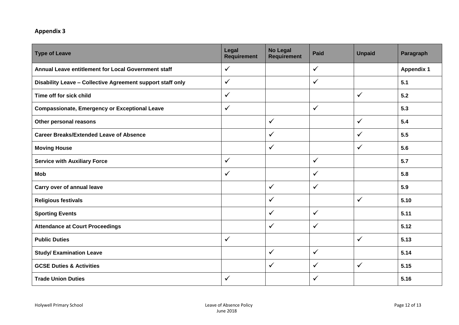## **Appendix 3**

| <b>Type of Leave</b>                                       | Legal<br><b>Requirement</b> | <b>No Legal</b><br><b>Requirement</b> | <b>Paid</b>  | <b>Unpaid</b> | Paragraph         |
|------------------------------------------------------------|-----------------------------|---------------------------------------|--------------|---------------|-------------------|
| Annual Leave entitlement for Local Government staff        | $\checkmark$                |                                       | $\checkmark$ |               | <b>Appendix 1</b> |
| Disability Leave - Collective Agreement support staff only | $\checkmark$                |                                       | $\checkmark$ |               | 5.1               |
| Time off for sick child                                    | $\checkmark$                |                                       |              | $\checkmark$  | 5.2               |
| <b>Compassionate, Emergency or Exceptional Leave</b>       | $\checkmark$                |                                       | $\checkmark$ |               | 5.3               |
| Other personal reasons                                     |                             | $\checkmark$                          |              | $\checkmark$  | 5.4               |
| <b>Career Breaks/Extended Leave of Absence</b>             |                             | $\checkmark$                          |              | ✓             | 5.5               |
| <b>Moving House</b>                                        |                             | ✓                                     |              | ✓             | 5.6               |
| <b>Service with Auxiliary Force</b>                        | $\checkmark$                |                                       | $\checkmark$ |               | 5.7               |
| <b>Mob</b>                                                 | $\checkmark$                |                                       | $\checkmark$ |               | 5.8               |
| Carry over of annual leave                                 |                             | $\checkmark$                          | $\checkmark$ |               | 5.9               |
| <b>Religious festivals</b>                                 |                             | $\checkmark$                          |              | $\checkmark$  | 5.10              |
| <b>Sporting Events</b>                                     |                             | ✓                                     | $\checkmark$ |               | 5.11              |
| <b>Attendance at Court Proceedings</b>                     |                             | $\checkmark$                          | $\checkmark$ |               | 5.12              |
| <b>Public Duties</b>                                       | $\checkmark$                |                                       |              | $\checkmark$  | 5.13              |
| <b>Study/ Examination Leave</b>                            |                             | $\checkmark$                          | $\checkmark$ |               | 5.14              |
| <b>GCSE Duties &amp; Activities</b>                        |                             | ✓                                     | ✓            | ✓             | 5.15              |
| <b>Trade Union Duties</b>                                  | ✓                           |                                       | ✓            |               | 5.16              |